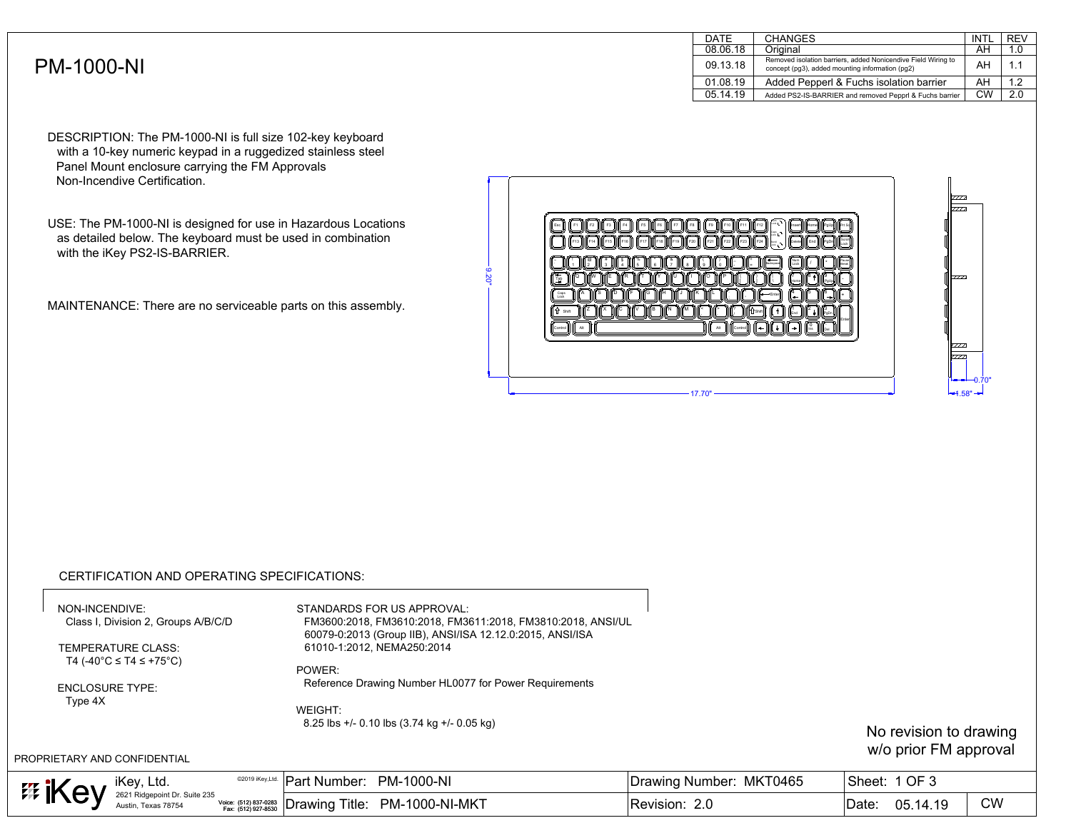|                   | <b>DATE</b> | <b>CHANGES</b>                                                                                                   | <b>INTL</b> | <b>REV</b>             |
|-------------------|-------------|------------------------------------------------------------------------------------------------------------------|-------------|------------------------|
|                   | 08.06.18    | Original                                                                                                         | AH          |                        |
| <b>PM-1000-NI</b> | 09.13.18    | Removed isolation barriers, added Nonicendive Field Wiring to<br>concept (pg3), added mounting information (pg2) | AH          |                        |
|                   | 01.08.19    | Added Pepperl & Fuchs isolation barrier                                                                          | AH          | $\sim$<br>. . <u>.</u> |
|                   | 05.14.19    | Added PS2-IS-BARRIER and removed Pepprl & Fuchs barrier                                                          | CW          | 2.0                    |
|                   |             |                                                                                                                  |             |                        |

DESCRIPTION: The PM-1000-NI is full size 102-key keyboard with a 10-key numeric keypad in a ruggedized stainless steel Panel Mount enclosure carrying the FM Approvals Non-Incendive Certification.

USE: The PM-1000-NI is designed for use in Hazardous Locations as detailed below. The keyboard must be used in combination with the iKey PS2-IS-BARRIER.

MAINTENANCE: There are no serviceable parts on this assembly.



## CERTIFICATION AND OPERATING SPECIFICATIONS:

NON-INCENDIVE: Class I, Division 2, Groups A/B/C/D

STANDARDS FOR US APPROVAL: FM3600:2018, FM3610:2018, FM3611:2018, FM3810:2018, ANSI/UL 60079-0:2013 (Group IIB), ANSI/ISA 12.12.0:2015, ANSI/ISA 61010-1:2012, NEMA250:2014 MAINTENANCE: There are no serviceable parts on this assembly.<br>
CERTIFICATION AND OPERATING SPECIFICATIONS:<br>
NON-INCENDIVE:<br>
Class I, Division 2, Groups A/BIC/D<br>
TEMPERATURE CLASS:<br>
TEMPERATURE CLASS:<br>
TEMPERATURE CLASS:<br>
T

TEMPERATURE CLASS: T4 (-40°C ≤ T4 ≤ +75°C)

POWER: Reference Drawing Number HL0077 for Power Requirements

ENCLOSURE TYPE: Type 4X

WEIGHT: 8.25 lbs +/- 0.10 lbs (3.74 kg +/- 0.05 kg)

No revision to drawing w/o prior FM approval

| iKey, Ltd.<br><b>EE IK</b><br>" ~ |                                                      |                     | <sup>©2019 iKey,Ltd.</sup> Part Number: PM-1000-NI |                                                                   | Drawing Number: MKT0465 | OF <sub>3</sub><br>Sheet: |           |
|-----------------------------------|------------------------------------------------------|---------------------|----------------------------------------------------|-------------------------------------------------------------------|-------------------------|---------------------------|-----------|
|                                   | 2621 Ridgepoint Dr. Suite 235<br>Austin, Texas 78754 | Fax: (512) 927-8530 |                                                    | $\frac{1}{2}$ Voice: (512) 837-0283 Drawing Title: PM-1000-NI-MKT | Revision: 2.0           | 05.14.19<br>Date:         | <b>CW</b> |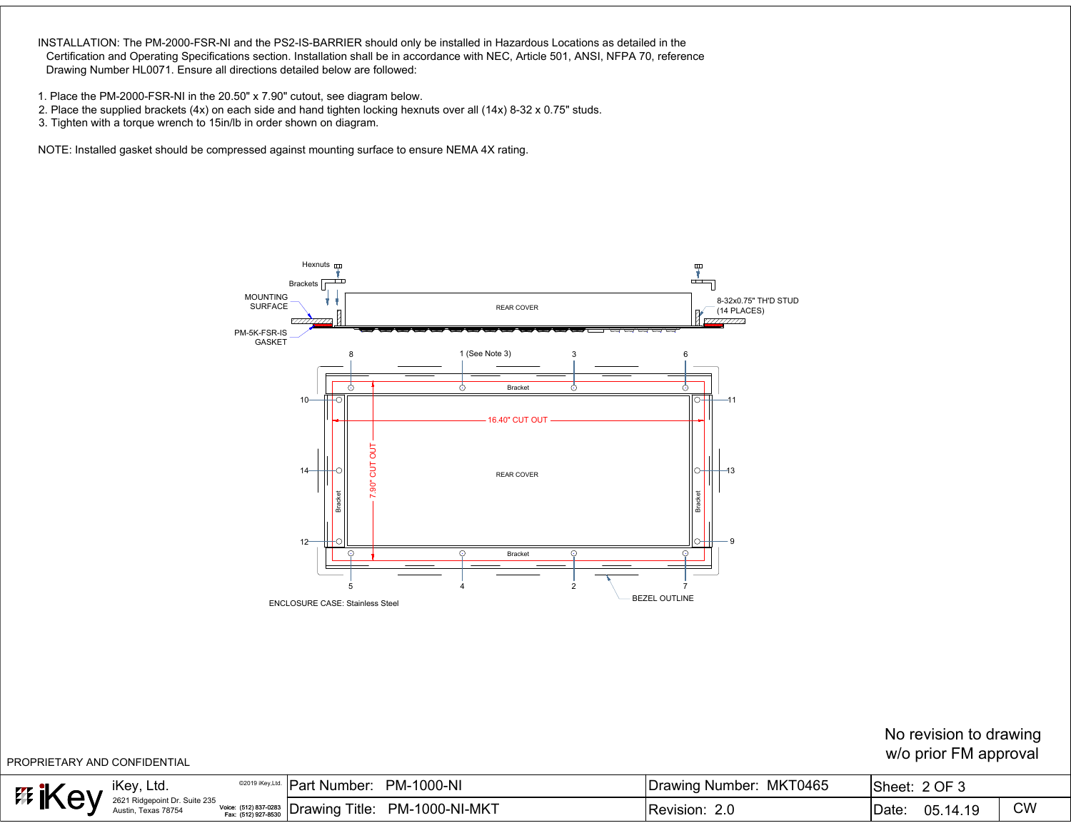INSTALLATION: The PM-2000-FSR-NI and the PS2-IS-BARRIER should only be installed in Hazardous Locations as detailed in the .<br>ISTALLATION: The PM-2000-FSR-NI and the PS2-IS-BARRIER should only be installed in Hazardous Locations as detailed in the<br>Certification and Operating Specifications section. Installation shall be in accordance with NEC, Certification and Operating Specifications section. Installation shall be in ac<br>Drawing Number HL0071. Ensure all directions detailed below are followed: Drawing Number HL0071. Ensure all directions detailed below are followed:<br>1. Place the PM-2000-FSR-NI in the 20.50" x 7.90" cutout, see diagram below.

- 
- 1. Place the PM-2000-FSR-NI in the 20.50" x 7.90" cutout, see diagram below.<br>2. Place the supplied brackets (4x) on each side and hand tighten locking hexnuts over all (14x) 8-32 x 0.75" studs. .<br>2. Place the supplied brackets (4x) on each side and hand tighten loc<br>3. Tighten with a torque wrench to 15in/lb in order shown on diagram.
- 

3. Tighten with a torque wrench to 15 in/lb in order shown on diagram.<br>NOTE: Installed gasket should be compressed against mounting surface to ensure NEMA 4X rating.



| PROPRIETARY AND CONFIDENTIAL |                                                                             |  |                         | No revision to drawing<br>w/o prior FM approval |           |
|------------------------------|-----------------------------------------------------------------------------|--|-------------------------|-------------------------------------------------|-----------|
|                              | ELA SURFAMENT SUITE 235 VOICE: (512) 837-0283 Drawing Title: PM-1000-NI-MKT |  | Drawing Number: MKT0465 | Sheet: 2 OF 3                                   |           |
|                              |                                                                             |  | Revision: 2.0           | Date: 05.14.19                                  | <b>CW</b> |